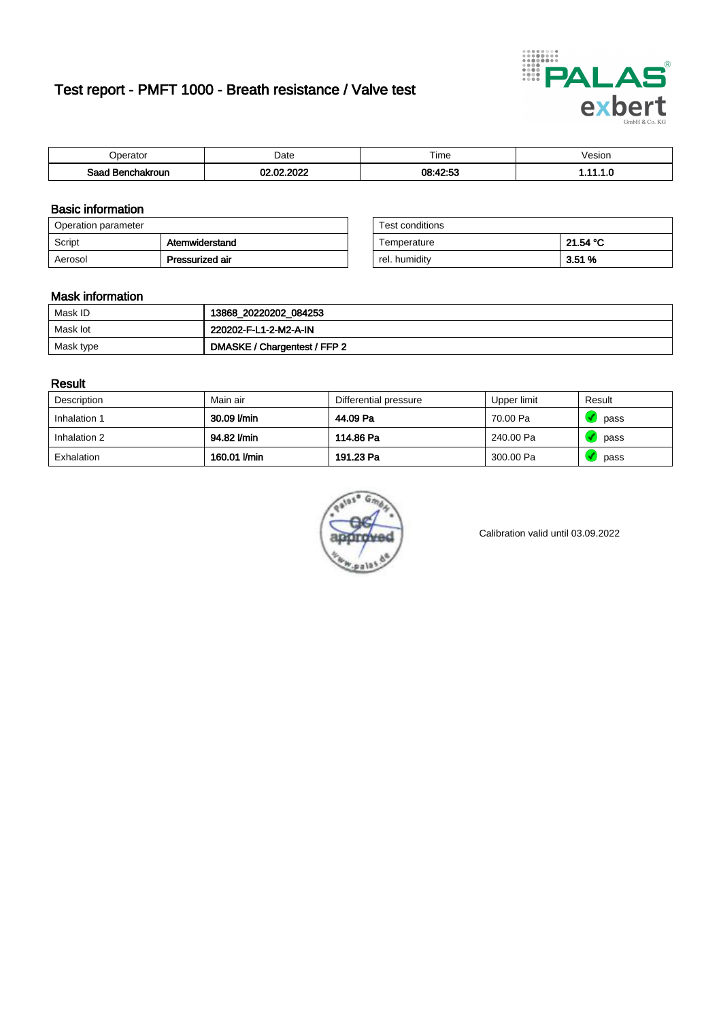# Test report - PMFT 1000 - Breath resistance / Valve test



| )perator               | Date                            | $- \cdot$<br>Гіmе | esion |
|------------------------|---------------------------------|-------------------|-------|
| המס<br>hakroun<br>32 H | 000 <sup>o</sup><br>$\sim$<br>w | 08:42:53<br>.     | .     |

### Basic information

| Operation parameter |                 | Test conditions |          |
|---------------------|-----------------|-----------------|----------|
| Script              | Atemwiderstand  | Temperature     | 21.54 °C |
| Aerosol             | Pressurized air | rel. humidity   | 3.51%    |

| Test conditions |          |
|-----------------|----------|
| Temperature     | 21.54 °C |
| rel. humidity   | 3.51%    |

#### Mask information

| Mask ID   | 13868_20220202_084253        |
|-----------|------------------------------|
| Mask lot  | 220202-F-L1-2-M2-A-IN        |
| Mask type | DMASKE / Chargentest / FFP 2 |

### Result

| Description  | Main air     | Differential pressure | Upper limit | Result |
|--------------|--------------|-----------------------|-------------|--------|
| Inhalation 1 | 30.09 l/min  | 44.09 Pa              | 70.00 Pa    | pass   |
| Inhalation 2 | 94.82 l/min  | 114.86 Pa             | 240.00 Pa   | pass   |
| Exhalation   | 160.01 l/min | 191.23 Pa             | 300.00 Pa   | pass   |



Calibration valid until 03.09.2022